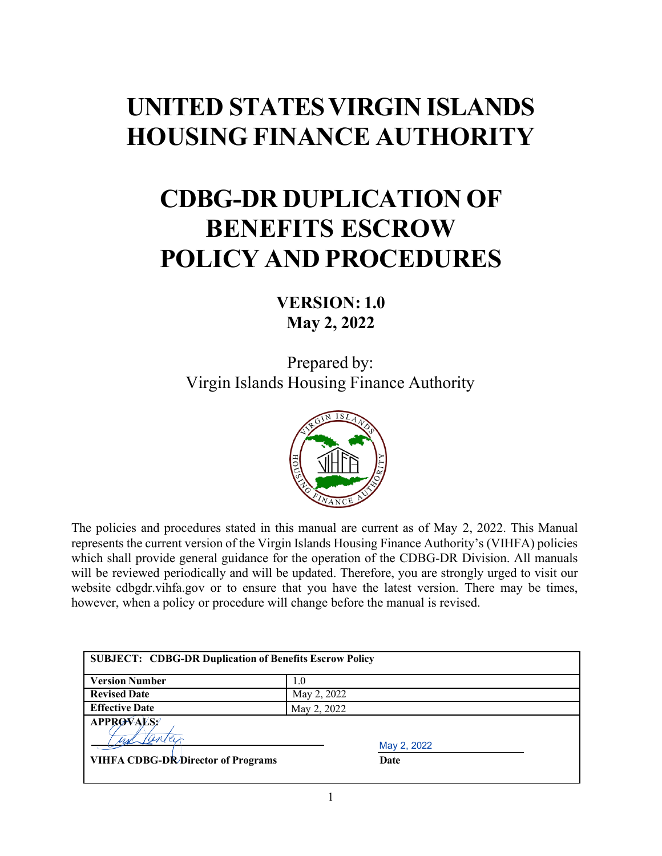# **UNITED STATESVIRGIN ISLANDS HOUSING FINANCE AUTHORITY**

# **CDBG-DR DUPLICATION OF BENEFITS ESCROW POLICY AND PROCEDURES**

## **VERSION: 1.0 May 2, 2022**

Prepared by: Virgin Islands Housing Finance Authority



The policies and procedures stated in this manual are current as of May 2, 2022. This Manual represents the current version of the Virgin Islands Housing Finance Authority's (VIHFA) policies which shall provide general guidance for the operation of the CDBG-DR Division. All manuals will be reviewed periodically and will be updated. Therefore, you are strongly urged to visit our website [cdbgdr.vihfa.gov](http://www.vihfa.gov/cdbg-dr) or to ensure that you have the latest version. There may be times, however, when a policy or procedure will change before the manual is revised.

| <b>SUBJECT: CDBG-DR Duplication of Benefits Escrow Policy</b>                |                     |
|------------------------------------------------------------------------------|---------------------|
| <b>Version Number</b>                                                        | 1.0                 |
| <b>Revised Date</b>                                                          | May 2, 2022         |
| <b>Effective Date</b>                                                        | May 2, 2022         |
| <b>APPROVALS?</b><br>und fantar<br><b>VIHFA CDBG-DR/Director of Programs</b> | May 2, 2022<br>Date |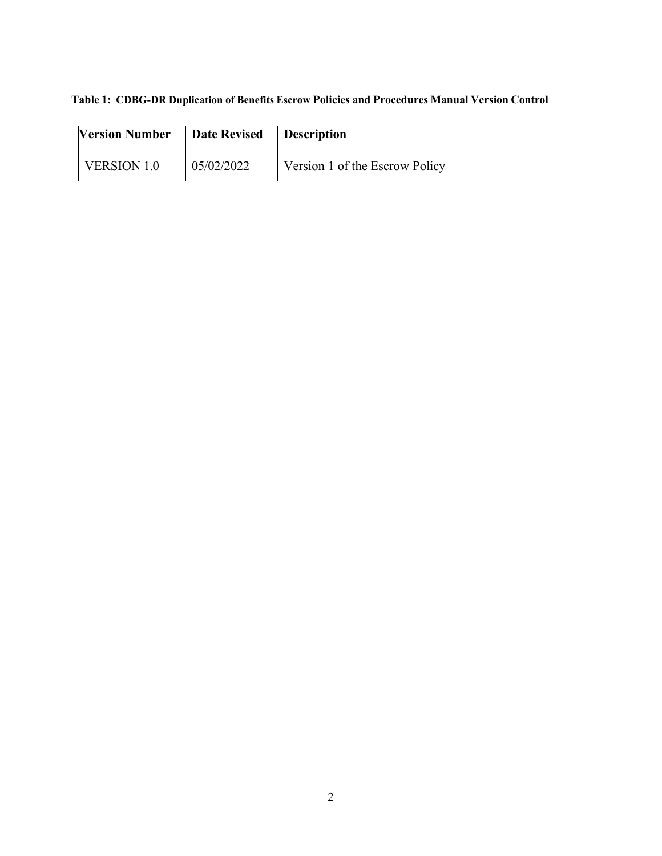| Table 1: CDBG-DR Duplication of Benefits Escrow Policies and Procedures Manual Version Control |  |
|------------------------------------------------------------------------------------------------|--|
|------------------------------------------------------------------------------------------------|--|

| <b>Version Number</b> | <b>Date Revised</b> | <b>Description</b>             |
|-----------------------|---------------------|--------------------------------|
| VERSION 1.0           | 05/02/2022          | Version 1 of the Escrow Policy |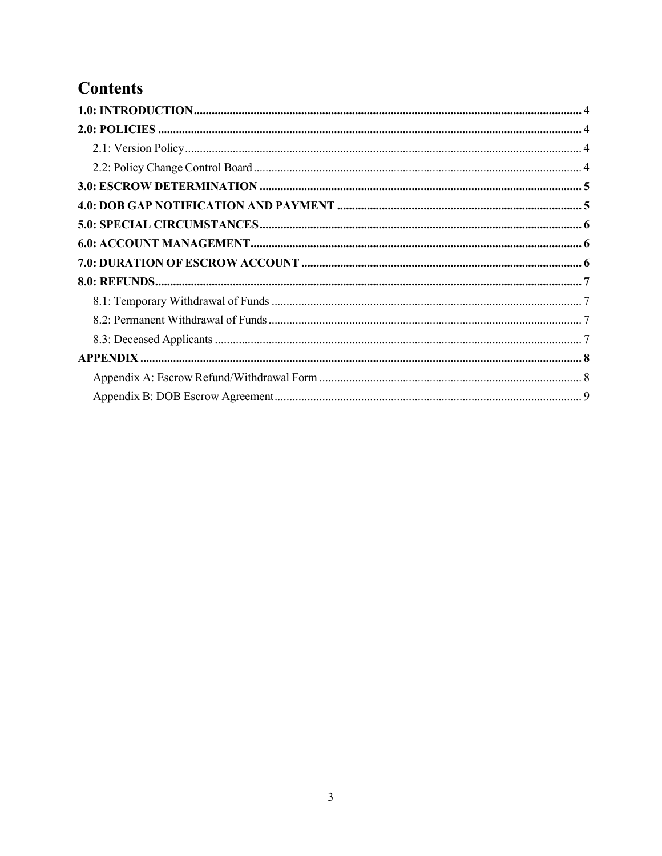# **Contents**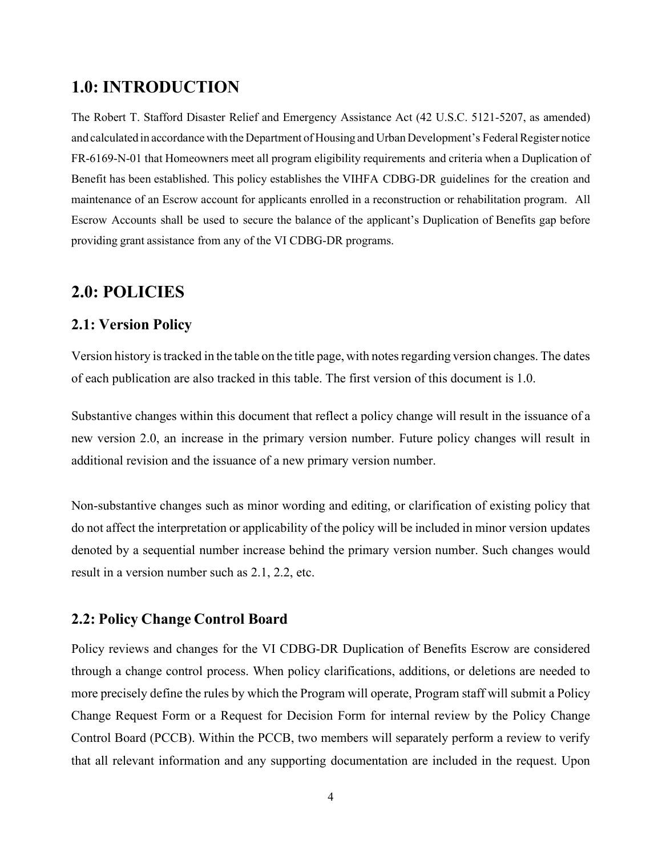#### <span id="page-3-0"></span>**1.0: INTRODUCTION**

The Robert T. Stafford Disaster Relief and Emergency Assistance Act (42 U.S.C. 5121-5207, as amended) and calculated in accordance with the Department of Housing and Urban Development's Federal Register notice FR-6169-N-01 that Homeowners meet all program eligibility requirements and criteria when a Duplication of Benefit has been established. This policy establishes the VIHFA CDBG-DR guidelines for the creation and maintenance of an Escrow account for applicants enrolled in a reconstruction or rehabilitation program. All Escrow Accounts shall be used to secure the balance of the applicant's Duplication of Benefits gap before providing grant assistance from any of the VI CDBG-DR programs.

#### <span id="page-3-1"></span>**2.0: POLICIES**

#### <span id="page-3-2"></span>**2.1: Version Policy**

Version history is tracked in the table on the title page, with notes regarding version changes. The dates of each publication are also tracked in this table. The first version of this document is 1.0.

Substantive changes within this document that reflect a policy change will result in the issuance of a new version 2.0, an increase in the primary version number. Future policy changes will result in additional revision and the issuance of a new primary version number.

Non-substantive changes such as minor wording and editing, or clarification of existing policy that do not affect the interpretation or applicability of the policy will be included in minor version updates denoted by a sequential number increase behind the primary version number. Such changes would result in a version number such as 2.1, 2.2, etc.

#### <span id="page-3-3"></span>**2.2: Policy Change Control Board**

Policy reviews and changes for the VI CDBG-DR Duplication of Benefits Escrow are considered through a change control process. When policy clarifications, additions, or deletions are needed to more precisely define the rules by which the Program will operate, Program staff will submit a Policy Change Request Form or a Request for Decision Form for internal review by the Policy Change Control Board (PCCB). Within the PCCB, two members will separately perform a review to verify that all relevant information and any supporting documentation are included in the request. Upon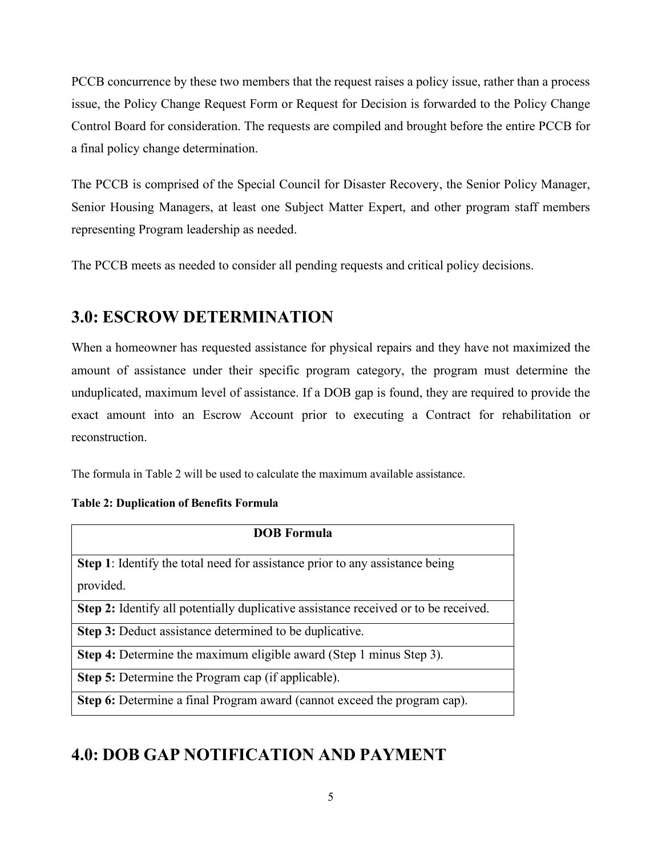PCCB concurrence by these two members that the request raises a policy issue, rather than a process issue, the Policy Change Request Form or Request for Decision is forwarded to the Policy Change Control Board for consideration. The requests are compiled and brought before the entire PCCB for a final policy change determination.

The PCCB is comprised of the Special Council for Disaster Recovery, the Senior Policy Manager, Senior Housing Managers, at least one Subject Matter Expert, and other program staff members representing Program leadership as needed.

The PCCB meets as needed to consider all pending requests and critical policy decisions.

## <span id="page-4-0"></span>**3.0: ESCROW DETERMINATION**

When a homeowner has requested assistance for physical repairs and they have not maximized the amount of assistance under their specific program category, the program must determine the unduplicated, maximum level of assistance. If a DOB gap is found, they are required to provide the exact amount into an Escrow Account prior to executing a Contract for rehabilitation or reconstruction.

The formula in Table 2 will be used to calculate the maximum available assistance.

#### **Table 2: Duplication of Benefits Formula**

| <b>DOB</b> Formula                                                                  |  |
|-------------------------------------------------------------------------------------|--|
| <b>Step 1:</b> Identify the total need for assistance prior to any assistance being |  |
|                                                                                     |  |
| provided.                                                                           |  |
| Step 2: Identify all potentially duplicative assistance received or to be received. |  |
| <b>Step 3:</b> Deduct assistance determined to be duplicative.                      |  |
| Step 4: Determine the maximum eligible award (Step 1 minus Step 3).                 |  |
| <b>Step 5:</b> Determine the Program cap (if applicable).                           |  |
| Step 6: Determine a final Program award (cannot exceed the program cap).            |  |

## <span id="page-4-1"></span>**4.0: DOB GAP NOTIFICATION AND PAYMENT**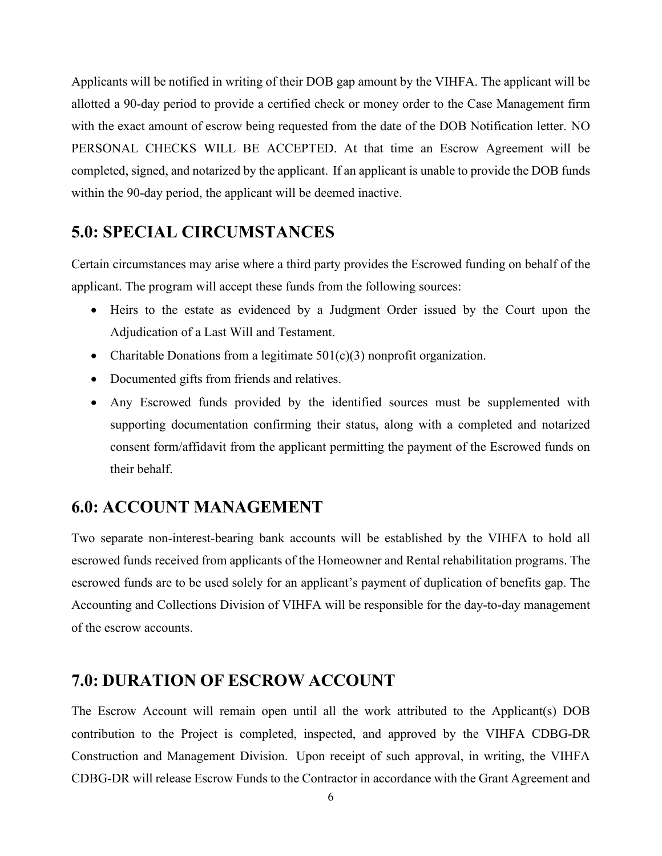Applicants will be notified in writing of their DOB gap amount by the VIHFA. The applicant will be allotted a 90-day period to provide a certified check or money order to the Case Management firm with the exact amount of escrow being requested from the date of the DOB Notification letter. NO PERSONAL CHECKS WILL BE ACCEPTED. At that time an Escrow Agreement will be completed, signed, and notarized by the applicant. If an applicant is unable to provide the DOB funds within the 90-day period, the applicant will be deemed inactive.

#### <span id="page-5-0"></span>**5.0: SPECIAL CIRCUMSTANCES**

Certain circumstances may arise where a third party provides the Escrowed funding on behalf of the applicant. The program will accept these funds from the following sources:

- Heirs to the estate as evidenced by a Judgment Order issued by the Court upon the Adjudication of a Last Will and Testament.
- Charitable Donations from a legitimate  $501(c)(3)$  nonprofit organization.
- Documented gifts from friends and relatives.
- Any Escrowed funds provided by the identified sources must be supplemented with supporting documentation confirming their status, along with a completed and notarized consent form/affidavit from the applicant permitting the payment of the Escrowed funds on their behalf.

#### <span id="page-5-1"></span>**6.0: ACCOUNT MANAGEMENT**

Two separate non-interest-bearing bank accounts will be established by the VIHFA to hold all escrowed funds received from applicants of the Homeowner and Rental rehabilitation programs. The escrowed funds are to be used solely for an applicant's payment of duplication of benefits gap. The Accounting and Collections Division of VIHFA will be responsible for the day-to-day management of the escrow accounts.

#### <span id="page-5-2"></span>**7.0: DURATION OF ESCROW ACCOUNT**

The Escrow Account will remain open until all the work attributed to the Applicant(s) DOB contribution to the Project is completed, inspected, and approved by the VIHFA CDBG-DR Construction and Management Division. Upon receipt of such approval, in writing, the VIHFA CDBG-DR will release Escrow Funds to the Contractor in accordance with the Grant Agreement and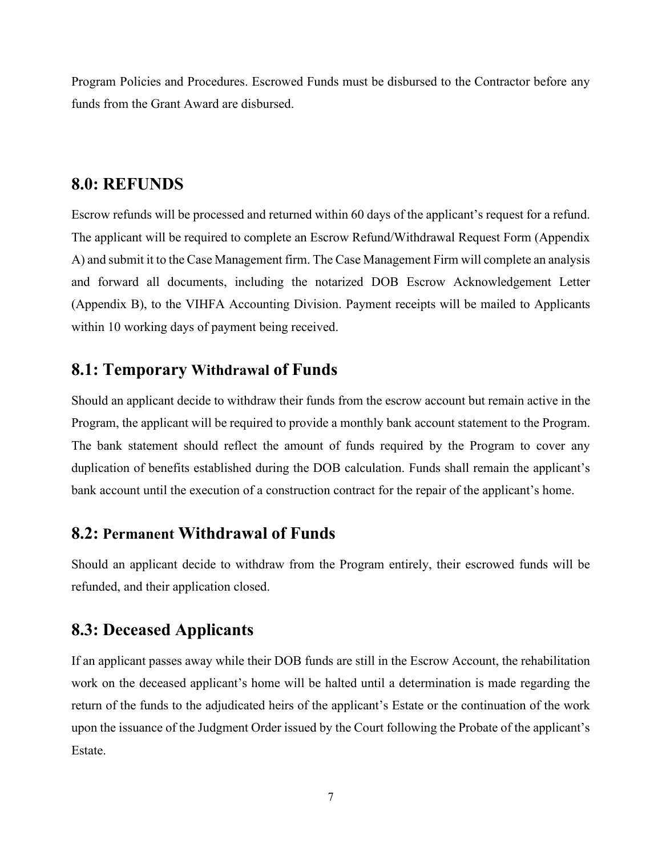Program Policies and Procedures. Escrowed Funds must be disbursed to the Contractor before any funds from the Grant Award are disbursed.

#### <span id="page-6-0"></span>**8.0: REFUNDS**

Escrow refunds will be processed and returned within 60 days of the applicant's request for a refund. The applicant will be required to complete an Escrow Refund/Withdrawal Request Form (Appendix A) and submit it to the Case Management firm. The Case Management Firm will complete an analysis and forward all documents, including the notarized DOB Escrow Acknowledgement Letter (Appendix B), to the VIHFA Accounting Division. Payment receipts will be mailed to Applicants within 10 working days of payment being received.

#### <span id="page-6-1"></span>**8.1: Temporary Withdrawal of Funds**

Should an applicant decide to withdraw their funds from the escrow account but remain active in the Program, the applicant will be required to provide a monthly bank account statement to the Program. The bank statement should reflect the amount of funds required by the Program to cover any duplication of benefits established during the DOB calculation. Funds shall remain the applicant's bank account until the execution of a construction contract for the repair of the applicant's home.

#### <span id="page-6-2"></span>**8.2: Permanent Withdrawal of Funds**

Should an applicant decide to withdraw from the Program entirely, their escrowed funds will be refunded, and their application closed.

### <span id="page-6-3"></span>**8.3: Deceased Applicants**

If an applicant passes away while their DOB funds are still in the Escrow Account, the rehabilitation work on the deceased applicant's home will be halted until a determination is made regarding the return of the funds to the adjudicated heirs of the applicant's Estate or the continuation of the work upon the issuance of the Judgment Order issued by the Court following the Probate of the applicant's Estate.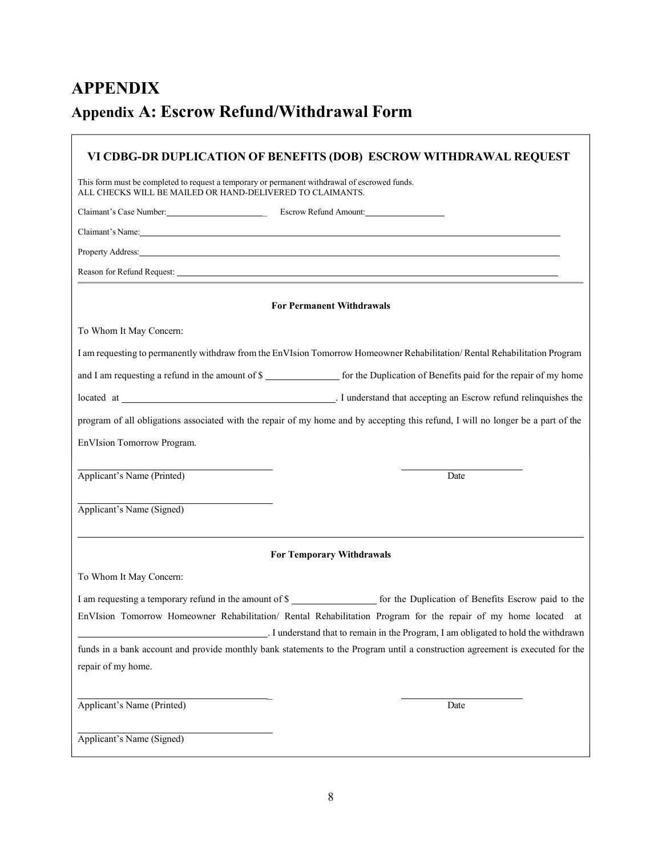# <span id="page-7-1"></span><span id="page-7-0"></span>**APPENDIX Appendix A: Escrow Refund/Withdrawal Form**

| VI CDBG-DR DUPLICATION OF BENEFITS (DOB) ESCROW WITHDRAWAL REQUEST |                                                                                                                                                                                                                                |  |  |  |
|--------------------------------------------------------------------|--------------------------------------------------------------------------------------------------------------------------------------------------------------------------------------------------------------------------------|--|--|--|
| ALL CHECKS WILL BE MAILED OR HAND-DELIVERED TO CLAIMANTS.          | This form must be completed to request a temporary or permanent withdrawal of escrowed funds.                                                                                                                                  |  |  |  |
|                                                                    | Claimant's Case Number.<br>Escrow Refund Amount:                                                                                                                                                                               |  |  |  |
|                                                                    | Claimant's Name: Name: Name: Name: Name: Name: Name: Name: Name: Name: Name: Name: Name: Name: Name: Name: Name: Name: Name: Name: Name: Name: Name: Name: Name: Name: Name: Name: Name: Name: Name: Name: Name: Name: Name: N |  |  |  |
|                                                                    |                                                                                                                                                                                                                                |  |  |  |
|                                                                    |                                                                                                                                                                                                                                |  |  |  |
|                                                                    | <b>For Permanent Withdrawals</b>                                                                                                                                                                                               |  |  |  |
| To Whom It May Concern:                                            |                                                                                                                                                                                                                                |  |  |  |
|                                                                    | I am requesting to permanently withdraw from the EnVIsion Tomorrow Homeowner Rehabilitation/Rental Rehabilitation Program                                                                                                      |  |  |  |
|                                                                    | and I am requesting a refund in the amount of \$____________________ for the Duplication of Benefits paid for the repair of my home                                                                                            |  |  |  |
|                                                                    | located at 1000 million and 1000 million and 1000 million and 1000 million and 1000 million and 1000 million and 1000 million and 1000 million and 1000 million and 1000 million and 1000 million and 1000 million and 1000 mi |  |  |  |
|                                                                    | program of all obligations associated with the repair of my home and by accepting this refund, I will no longer be a part of the                                                                                               |  |  |  |
| EnVIsion Tomorrow Program.                                         |                                                                                                                                                                                                                                |  |  |  |
|                                                                    |                                                                                                                                                                                                                                |  |  |  |
| Applicant's Name (Printed)                                         | Date                                                                                                                                                                                                                           |  |  |  |
|                                                                    |                                                                                                                                                                                                                                |  |  |  |
| Applicant's Name (Signed)                                          |                                                                                                                                                                                                                                |  |  |  |
|                                                                    | <b>For Temporary Withdrawals</b>                                                                                                                                                                                               |  |  |  |
| To Whom It May Concern:                                            |                                                                                                                                                                                                                                |  |  |  |
|                                                                    |                                                                                                                                                                                                                                |  |  |  |
|                                                                    | EnVIsion Tomorrow Homeowner Rehabilitation/ Rental Rehabilitation Program for the repair of my home located at                                                                                                                 |  |  |  |
|                                                                    | . I understand that to remain in the Program, I am obligated to hold the withdrawn                                                                                                                                             |  |  |  |
| repair of my home.                                                 | funds in a bank account and provide monthly bank statements to the Program until a construction agreement is executed for the                                                                                                  |  |  |  |
|                                                                    |                                                                                                                                                                                                                                |  |  |  |
| Applicant's Name (Printed)                                         | Date                                                                                                                                                                                                                           |  |  |  |
|                                                                    |                                                                                                                                                                                                                                |  |  |  |
| Applicant's Name (Signed)                                          |                                                                                                                                                                                                                                |  |  |  |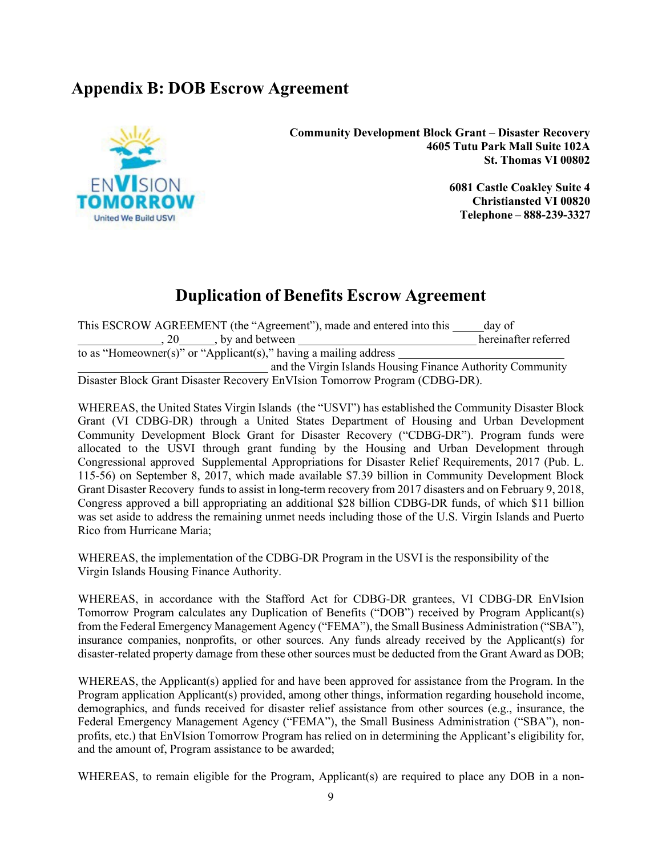### <span id="page-8-0"></span>**Appendix B: DOB Escrow Agreement**



**Community Development Block Grant – Disaster Recovery 4605 Tutu Park Mall Suite 102A St. Thomas VI 00802** 

> **6081 Castle Coakley Suite 4 Christiansted VI 00820 Telephone – 888-239-3327**

## **Duplication of Benefits Escrow Agreement**

This ESCROW AGREEMENT (the "Agreement"), made and entered into this day of , 20 , by and between hereinafter referred to as "Homeowner(s)" or "Applicant(s)," having a mailing address and the Virgin Islands Housing Finance Authority Community Disaster Block Grant Disaster Recovery EnVIsion Tomorrow Program (CDBG-DR).

WHEREAS, the United States Virgin Islands (the "USVI") has established the Community Disaster Block Grant (VI CDBG-DR) through a United States Department of Housing and Urban Development Community Development Block Grant for Disaster Recovery ("CDBG-DR"). Program funds were allocated to the USVI through grant funding by the Housing and Urban Development through Congressional approved Supplemental Appropriations for Disaster Relief Requirements, 2017 (Pub. L. 115-56) on September 8, 2017, which made available \$7.39 billion in Community Development Block Grant Disaster Recovery funds to assist in long-term recovery from 2017 disasters and on February 9, 2018, Congress approved a bill appropriating an additional \$28 billion CDBG-DR funds, of which \$11 billion was set aside to address the remaining unmet needs including those of the U.S. Virgin Islands and Puerto Rico from Hurricane Maria;

WHEREAS, the implementation of the CDBG-DR Program in the USVI is the responsibility of the Virgin Islands Housing Finance Authority.

WHEREAS, in accordance with the Stafford Act for CDBG-DR grantees, VI CDBG-DR EnVIsion Tomorrow Program calculates any Duplication of Benefits ("DOB") received by Program Applicant(s) from the Federal Emergency Management Agency ("FEMA"), the Small Business Administration ("SBA"), insurance companies, nonprofits, or other sources. Any funds already received by the Applicant(s) for disaster-related property damage from these other sources must be deducted from the Grant Award as DOB;

WHEREAS, the Applicant(s) applied for and have been approved for assistance from the Program. In the Program application Applicant(s) provided, among other things, information regarding household income, demographics, and funds received for disaster relief assistance from other sources (e.g., insurance, the Federal Emergency Management Agency ("FEMA"), the Small Business Administration ("SBA"), nonprofits, etc.) that EnVIsion Tomorrow Program has relied on in determining the Applicant's eligibility for, and the amount of, Program assistance to be awarded;

WHEREAS, to remain eligible for the Program, Applicant(s) are required to place any DOB in a non-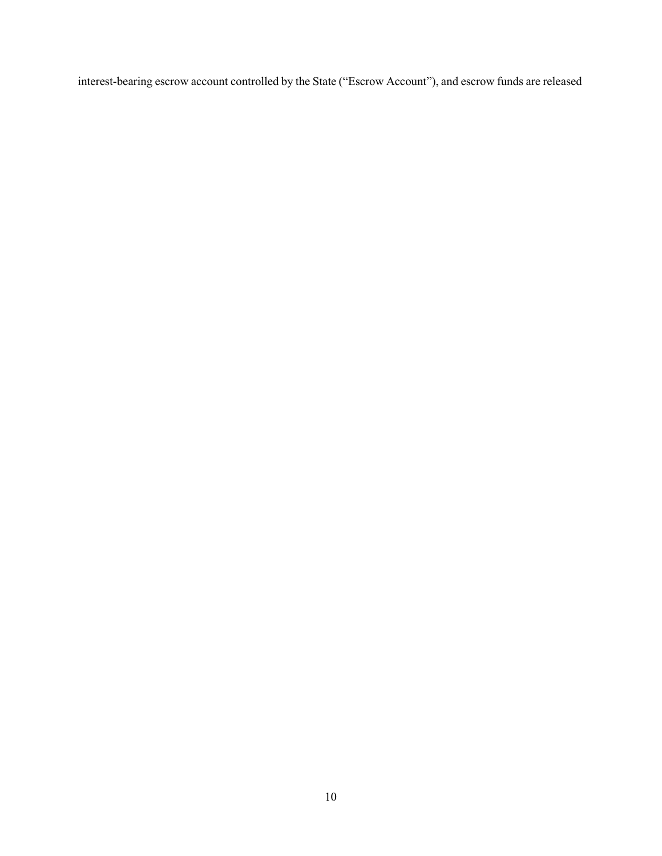interest-bearing escrow account controlled by the State ("Escrow Account"), and escrow funds are released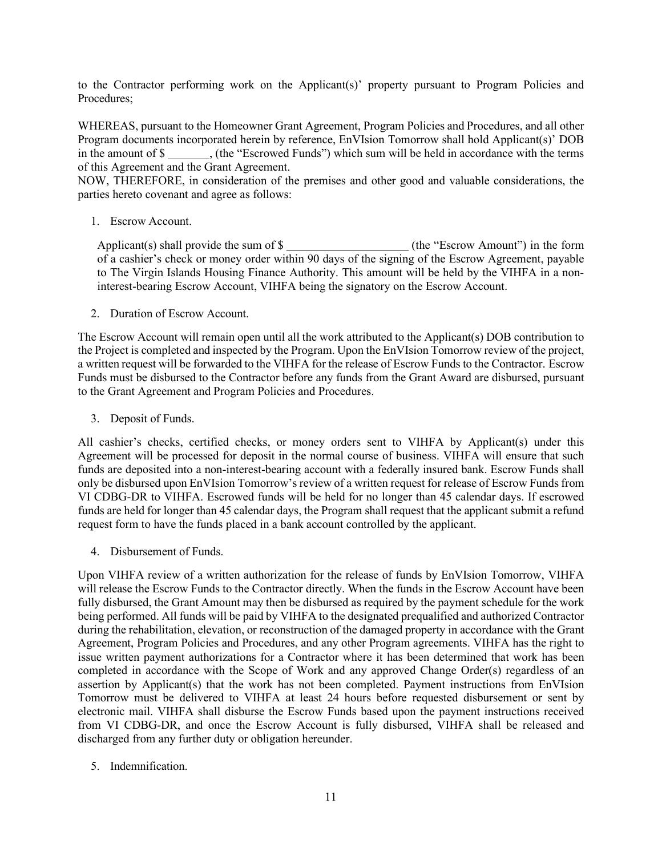to the Contractor performing work on the Applicant(s)' property pursuant to Program Policies and Procedures;

WHEREAS, pursuant to the Homeowner Grant Agreement, Program Policies and Procedures, and all other Program documents incorporated herein by reference, EnVIsion Tomorrow shall hold Applicant(s)' DOB in the amount of \$ , (the "Escrowed Funds") which sum will be held in accordance with the terms of this Agreement and the Grant Agreement.

NOW, THEREFORE, in consideration of the premises and other good and valuable considerations, the parties hereto covenant and agree as follows:

1. Escrow Account.

Applicant(s) shall provide the sum of  $\S$  (the "Escrow Amount") in the form of a cashier's check or money order within 90 days of the signing of the Escrow Agreement, payable to The Virgin Islands Housing Finance Authority. This amount will be held by the VIHFA in a noninterest-bearing Escrow Account, VIHFA being the signatory on the Escrow Account.

2. Duration of Escrow Account.

The Escrow Account will remain open until all the work attributed to the Applicant(s) DOB contribution to the Project is completed and inspected by the Program. Upon the EnVIsion Tomorrow review of the project, a written request will be forwarded to the VIHFA for the release of Escrow Funds to the Contractor. Escrow Funds must be disbursed to the Contractor before any funds from the Grant Award are disbursed, pursuant to the Grant Agreement and Program Policies and Procedures.

3. Deposit of Funds.

All cashier's checks, certified checks, or money orders sent to VIHFA by Applicant(s) under this Agreement will be processed for deposit in the normal course of business. VIHFA will ensure that such funds are deposited into a non-interest-bearing account with a federally insured bank. Escrow Funds shall only be disbursed upon EnVIsion Tomorrow's review of a written request for release of Escrow Funds from VI CDBG-DR to VIHFA. Escrowed funds will be held for no longer than 45 calendar days. If escrowed funds are held for longer than 45 calendar days, the Program shall request that the applicant submit a refund request form to have the funds placed in a bank account controlled by the applicant.

4. Disbursement of Funds.

Upon VIHFA review of a written authorization for the release of funds by EnVIsion Tomorrow, VIHFA will release the Escrow Funds to the Contractor directly. When the funds in the Escrow Account have been fully disbursed, the Grant Amount may then be disbursed as required by the payment schedule for the work being performed. All funds will be paid by VIHFA to the designated prequalified and authorized Contractor during the rehabilitation, elevation, or reconstruction of the damaged property in accordance with the Grant Agreement, Program Policies and Procedures, and any other Program agreements. VIHFA has the right to issue written payment authorizations for a Contractor where it has been determined that work has been completed in accordance with the Scope of Work and any approved Change Order(s) regardless of an assertion by Applicant(s) that the work has not been completed. Payment instructions from EnVIsion Tomorrow must be delivered to VIHFA at least 24 hours before requested disbursement or sent by electronic mail. VIHFA shall disburse the Escrow Funds based upon the payment instructions received from VI CDBG-DR, and once the Escrow Account is fully disbursed, VIHFA shall be released and discharged from any further duty or obligation hereunder.

5. Indemnification.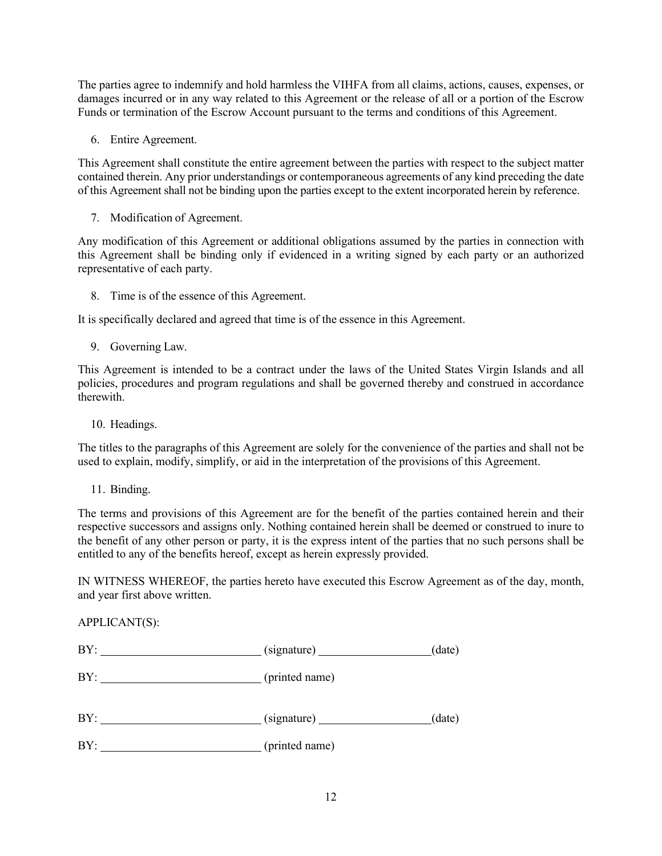The parties agree to indemnify and hold harmless the VIHFA from all claims, actions, causes, expenses, or damages incurred or in any way related to this Agreement or the release of all or a portion of the Escrow Funds or termination of the Escrow Account pursuant to the terms and conditions of this Agreement.

6. Entire Agreement.

This Agreement shall constitute the entire agreement between the parties with respect to the subject matter contained therein. Any prior understandings or contemporaneous agreements of any kind preceding the date of this Agreement shall not be binding upon the parties except to the extent incorporated herein by reference.

7. Modification of Agreement.

Any modification of this Agreement or additional obligations assumed by the parties in connection with this Agreement shall be binding only if evidenced in a writing signed by each party or an authorized representative of each party.

8. Time is of the essence of this Agreement.

It is specifically declared and agreed that time is of the essence in this Agreement.

9. Governing Law.

This Agreement is intended to be a contract under the laws of the United States Virgin Islands and all policies, procedures and program regulations and shall be governed thereby and construed in accordance therewith.

10. Headings.

The titles to the paragraphs of this Agreement are solely for the convenience of the parties and shall not be used to explain, modify, simplify, or aid in the interpretation of the provisions of this Agreement.

11. Binding.

 $ADPILOAPT$ 

The terms and provisions of this Agreement are for the benefit of the parties contained herein and their respective successors and assigns only. Nothing contained herein shall be deemed or construed to inure to the benefit of any other person or party, it is the express intent of the parties that no such persons shall be entitled to any of the benefits hereof, except as herein expressly provided.

IN WITNESS WHEREOF, the parties hereto have executed this Escrow Agreement as of the day, month, and year first above written.

| APPLICANT(S):                                   |                                                  |        |
|-------------------------------------------------|--------------------------------------------------|--------|
|                                                 | $\frac{1}{\sqrt{1-\frac{1}{2}}\sinh(\theta)}$    | (date) |
| BY: _____________________________(printed name) |                                                  |        |
| BY:                                             | $\qquad \qquad \text{(signature)} \qquad \qquad$ | (data) |
|                                                 |                                                  |        |